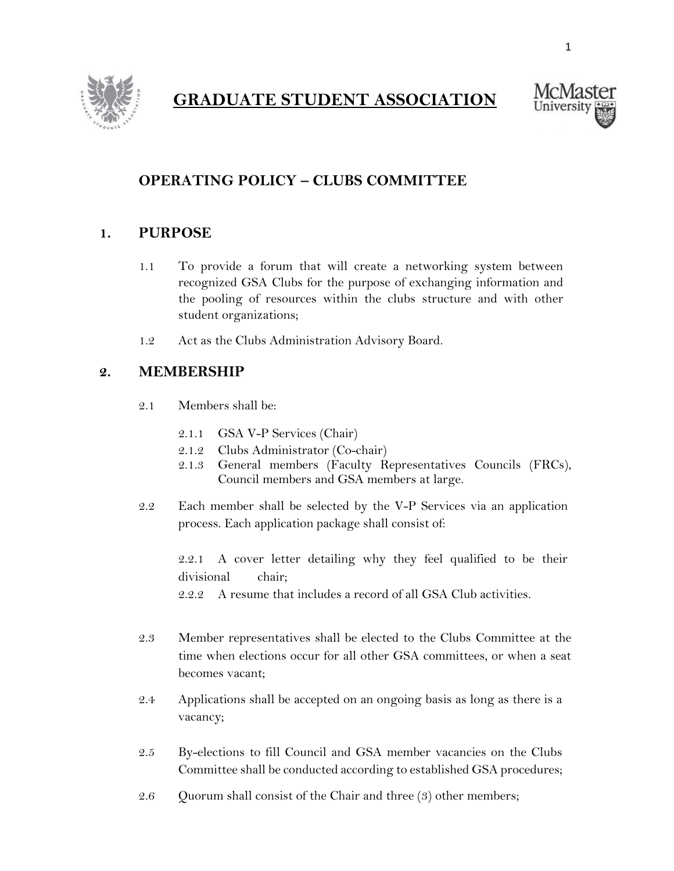

# **GRADUATE STUDENT ASSOCIATION**



## **OPERATING POLICY – CLUBS COMMITTEE**

#### **1. PURPOSE**

- 1.1 To provide a forum that will create a networking system between recognized GSA Clubs for the purpose of exchanging information and the pooling of resources within the clubs structure and with other student organizations;
- 1.2 Act as the Clubs Administration Advisory Board.

#### **2. MEMBERSHIP**

- 2.1 Members shall be:
	- 2.1.1 GSA V-P Services (Chair)
	- 2.1.2 Clubs Administrator (Co-chair)
	- 2.1.3 General members (Faculty Representatives Councils (FRCs), Council members and GSA members at large.
- 2.2 Each member shall be selected by the V-P Services via an application process. Each application package shall consist of:

2.2.1 A cover letter detailing why they feel qualified to be their divisional chair;

2.2.2 A resume that includes a record of all GSA Club activities.

- 2.3 Member representatives shall be elected to the Clubs Committee at the time when elections occur for all other GSA committees, or when a seat becomes vacant;
- 2.4 Applications shall be accepted on an ongoing basis as long as there is a vacancy;
- 2.5 By-elections to fill Council and GSA member vacancies on the Clubs Committee shall be conducted according to established GSA procedures;
- 2.6 Quorum shall consist of the Chair and three (3) other members;